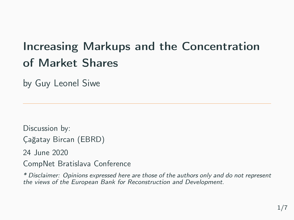## Increasing Markups and the Concentration of Market Shares

by Guy Leonel Siwe

Discussion by: Çağatay Bircan (EBRD)

24 June 2020

CompNet Bratislava Conference

\* Disclaimer: Opinions expressed here are those of the authors only and do not represent the views of the European Bank for Reconstruction and Development.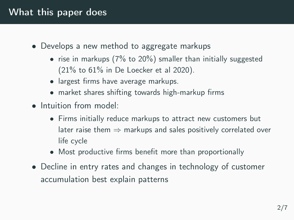## What this paper does

- Develops a new method to aggregate markups
	- rise in markups (7% to 20%) smaller than initially suggested (21% to 61% in De Loecker et al 2020).
	- largest firms have average markups.
	- market shares shifting towards high-markup firms
- Intuition from model:
	- Firms initially reduce markups to attract new customers but later raise them  $\Rightarrow$  markups and sales positively correlated over life cycle
	- Most productive firms benefit more than proportionally
- Decline in entry rates and changes in technology of customer accumulation best explain patterns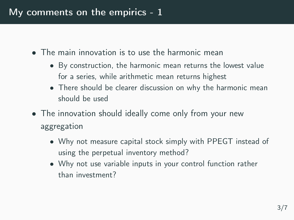- The main innovation is to use the harmonic mean
	- By construction, the harmonic mean returns the lowest value for a series, while arithmetic mean returns highest
	- There should be clearer discussion on why the harmonic mean should be used
- The innovation should ideally come only from your new aggregation
	- Why not measure capital stock simply with PPEGT instead of using the perpetual inventory method?
	- Why not use variable inputs in your control function rather than investment?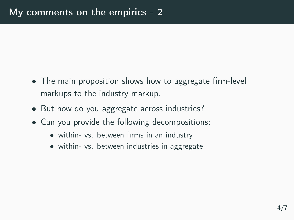- The main proposition shows how to aggregate firm-level markups to the industry markup.
- But how do you aggregate across industries?
- Can you provide the following decompositions:
	- within- vs. between firms in an industry
	- within- vs. between industries in aggregate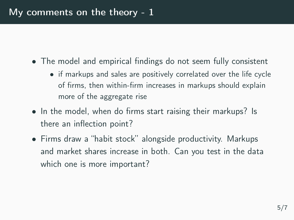- The model and empirical findings do not seem fully consistent
	- if markups and sales are positively correlated over the life cycle of firms, then within-firm increases in markups should explain more of the aggregate rise
- In the model, when do firms start raising their markups? Is there an inflection point?
- Firms draw a "habit stock" alongside productivity. Markups and market shares increase in both. Can you test in the data which one is more important?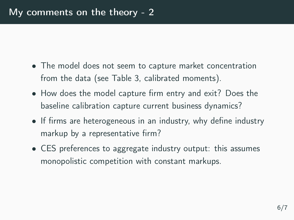- The model does not seem to capture market concentration from the data (see Table 3, calibrated moments).
- How does the model capture firm entry and exit? Does the baseline calibration capture current business dynamics?
- If firms are heterogeneous in an industry, why define industry markup by a representative firm?
- CES preferences to aggregate industry output: this assumes monopolistic competition with constant markups.